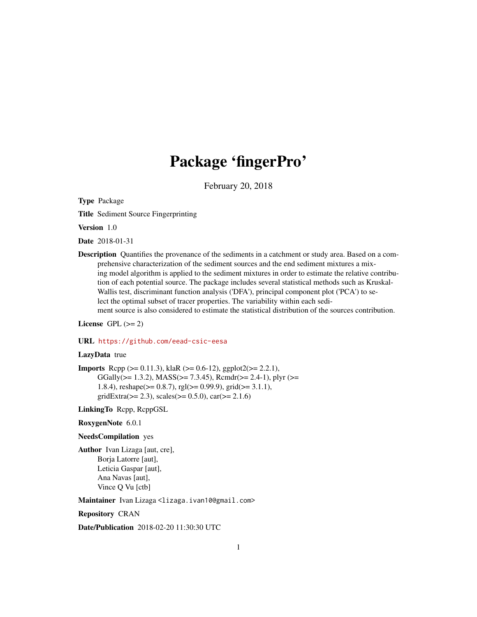## Package 'fingerPro'

February 20, 2018

Type Package

Title Sediment Source Fingerprinting

Version 1.0

Date 2018-01-31

Description Quantifies the provenance of the sediments in a catchment or study area. Based on a comprehensive characterization of the sediment sources and the end sediment mixtures a mixing model algorithm is applied to the sediment mixtures in order to estimate the relative contribution of each potential source. The package includes several statistical methods such as Kruskal-Wallis test, discriminant function analysis ('DFA'), principal component plot ('PCA') to select the optimal subset of tracer properties. The variability within each sediment source is also considered to estimate the statistical distribution of the sources contribution.

License GPL  $(>= 2)$ 

#### URL <https://github.com/eead-csic-eesa>

#### LazyData true

**Imports** Rcpp ( $>= 0.11.3$ ), klaR ( $>= 0.6-12$ ), ggplot2( $>= 2.2.1$ ), GGally( $>= 1.3.2$ ), MASS( $>= 7.3.45$ ), Rcmdr( $>= 2.4-1$ ), plyr ( $>= 1.3.2$ ) 1.8.4), reshape( $>= 0.8.7$ ), rgl( $>= 0.99.9$ ), grid( $>= 3.1.1$ ),  $gridExtracts(>= 2.3), scales(>= 0.5.0), car(>= 2.1.6)$ 

LinkingTo Rcpp, RcppGSL

RoxygenNote 6.0.1

#### NeedsCompilation yes

Author Ivan Lizaga [aut, cre], Borja Latorre [aut], Leticia Gaspar [aut], Ana Navas [aut], Vince Q Vu [ctb]

Maintainer Ivan Lizaga <lizaga.ivan10@gmail.com>

Repository CRAN

Date/Publication 2018-02-20 11:30:30 UTC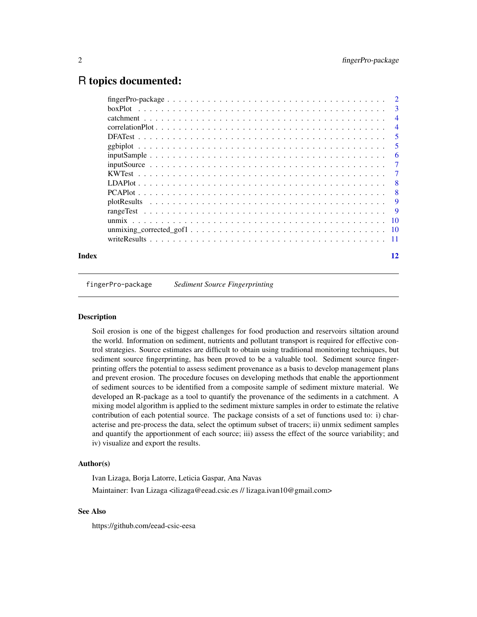## <span id="page-1-0"></span>R topics documented:

| Index |                                                                                                                           | 12             |
|-------|---------------------------------------------------------------------------------------------------------------------------|----------------|
|       |                                                                                                                           |                |
|       |                                                                                                                           |                |
|       |                                                                                                                           |                |
|       |                                                                                                                           | - 9            |
|       |                                                                                                                           | 9              |
|       |                                                                                                                           | -8             |
|       |                                                                                                                           | - 8            |
|       |                                                                                                                           |                |
|       |                                                                                                                           | $\overline{7}$ |
|       |                                                                                                                           | 6              |
|       |                                                                                                                           | - 5            |
|       |                                                                                                                           | -5             |
|       |                                                                                                                           | $\overline{4}$ |
|       |                                                                                                                           | $\overline{4}$ |
|       |                                                                                                                           |                |
|       | $fingerPro-package \dots \dots \dots \dots \dots \dots \dots \dots \dots \dots \dots \dots \dots \dots \dots \dots \dots$ |                |

fingerPro-package *Sediment Source Fingerprinting*

#### Description

Soil erosion is one of the biggest challenges for food production and reservoirs siltation around the world. Information on sediment, nutrients and pollutant transport is required for effective control strategies. Source estimates are difficult to obtain using traditional monitoring techniques, but sediment source fingerprinting, has been proved to be a valuable tool. Sediment source fingerprinting offers the potential to assess sediment provenance as a basis to develop management plans and prevent erosion. The procedure focuses on developing methods that enable the apportionment of sediment sources to be identified from a composite sample of sediment mixture material. We developed an R-package as a tool to quantify the provenance of the sediments in a catchment. A mixing model algorithm is applied to the sediment mixture samples in order to estimate the relative contribution of each potential source. The package consists of a set of functions used to: i) characterise and pre-process the data, select the optimum subset of tracers; ii) unmix sediment samples and quantify the apportionment of each source; iii) assess the effect of the source variability; and iv) visualize and export the results.

#### Author(s)

Ivan Lizaga, Borja Latorre, Leticia Gaspar, Ana Navas Maintainer: Ivan Lizaga <ilizaga@eead.csic.es // lizaga.ivan10@gmail.com>

#### See Also

https://github.com/eead-csic-eesa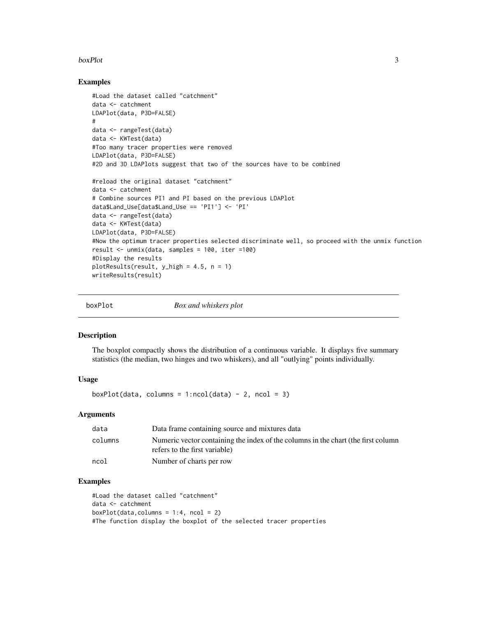#### <span id="page-2-0"></span>boxPlot 3

#### Examples

```
#Load the dataset called "catchment"
data <- catchment
LDAPlot(data, P3D=FALSE)
#
data <- rangeTest(data)
data <- KWTest(data)
#Too many tracer properties were removed
LDAPlot(data, P3D=FALSE)
#2D and 3D LDAPlots suggest that two of the sources have to be combined
#reload the original dataset "catchment"
data <- catchment
# Combine sources PI1 and PI based on the previous LDAPlot
data$Land_Use[data$Land_Use == 'PI1'] <- 'PI'
data <- rangeTest(data)
data <- KWTest(data)
LDAPlot(data, P3D=FALSE)
#Now the optimum tracer properties selected discriminate well, so proceed with the unmix function
result <- unmix(data, samples = 100, iter =100)
#Display the results
plotResults(result, y_high = 4.5, n = 1)
writeResults(result)
```
boxPlot *Box and whiskers plot*

#### Description

The boxplot compactly shows the distribution of a continuous variable. It displays five summary statistics (the median, two hinges and two whiskers), and all "outlying" points individually.

#### Usage

 $boxPlot(data, columns = 1:ncol(data) - 2, ncol = 3)$ 

#### Arguments

| data    | Data frame containing source and mixtures data                                                                     |
|---------|--------------------------------------------------------------------------------------------------------------------|
| columns | Numeric vector containing the index of the columns in the chart (the first column<br>refers to the first variable) |
|         |                                                                                                                    |
| ncol    | Number of charts per row                                                                                           |

#### Examples

```
#Load the dataset called "catchment"
data <- catchment
boxPlot(data, columns = 1:4, ncol = 2)#The function display the boxplot of the selected tracer properties
```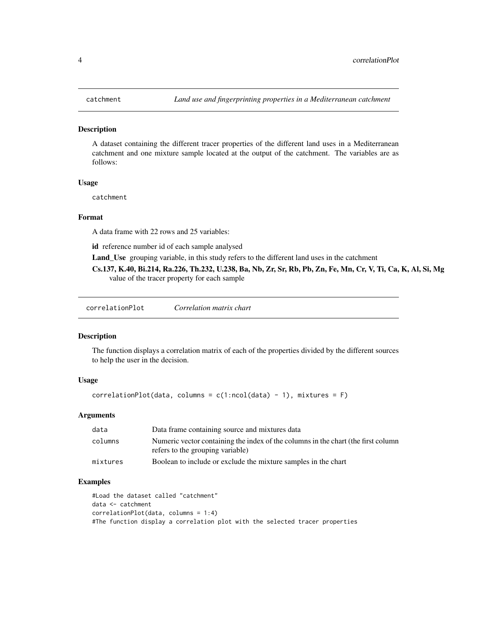<span id="page-3-0"></span>A dataset containing the different tracer properties of the different land uses in a Mediterranean catchment and one mixture sample located at the output of the catchment. The variables are as follows:

#### Usage

catchment

#### Format

A data frame with 22 rows and 25 variables:

id reference number id of each sample analysed

Land\_Use grouping variable, in this study refers to the different land uses in the catchment

Cs.137, K.40, Bi.214, Ra.226, Th.232, U.238, Ba, Nb, Zr, Sr, Rb, Pb, Zn, Fe, Mn, Cr, V, Ti, Ca, K, Al, Si, Mg value of the tracer property for each sample

correlationPlot *Correlation matrix chart*

#### Description

The function displays a correlation matrix of each of the properties divided by the different sources to help the user in the decision.

#### Usage

```
correlationPlot(data, columns = c(1:ncol(data) - 1), mixtures = F)
```
#### Arguments

| data     | Data frame containing source and mixtures data                                                                        |
|----------|-----------------------------------------------------------------------------------------------------------------------|
| columns  | Numeric vector containing the index of the columns in the chart (the first column<br>refers to the grouping variable) |
| mixtures | Boolean to include or exclude the mixture samples in the chart                                                        |

#### Examples

```
#Load the dataset called "catchment"
data <- catchment
correlationPlot(data, columns = 1:4)
#The function display a correlation plot with the selected tracer properties
```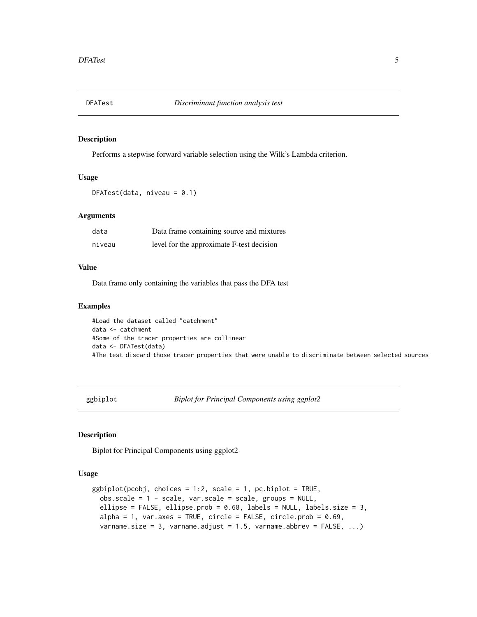<span id="page-4-0"></span>

Performs a stepwise forward variable selection using the Wilk's Lambda criterion.

#### Usage

```
DFATest(data, niveau = 0.1)
```
#### Arguments

| data   | Data frame containing source and mixtures |
|--------|-------------------------------------------|
| niveau | level for the approximate F-test decision |

#### Value

Data frame only containing the variables that pass the DFA test

#### Examples

#Load the dataset called "catchment" data <- catchment #Some of the tracer properties are collinear data <- DFATest(data) #The test discard those tracer properties that were unable to discriminate between selected sources

ggbiplot *Biplot for Principal Components using ggplot2*

#### Description

Biplot for Principal Components using ggplot2

#### Usage

```
ggbiplot(pcobj, choices = 1:2, scale = 1, pc.biplot = TRUE,obs.\text{scale} = 1 - scale, \text{var}.\text{scale} = scale, \text{groups} = NULL,ellipse = FALSE, ellipse.prob = 0.68, labels = NULL, labels.size = 3,
  alpha = 1, var.axes = TRUE, circle = FALSE, circle.prob = 0.69,
  varname.size = 3, varname.adjust = 1.5, varname.abbrev = FALSE, ...)
```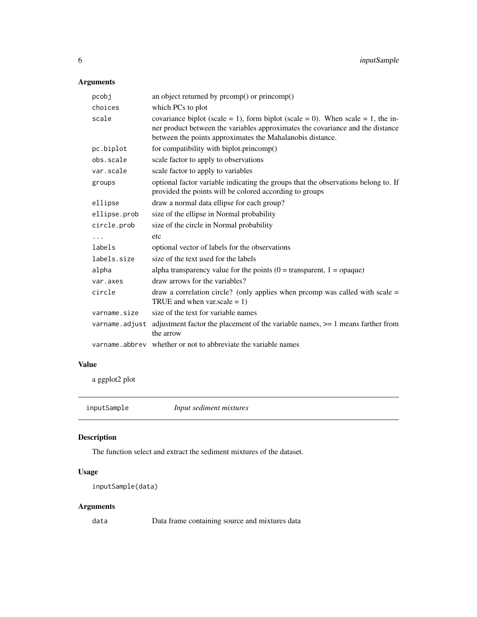#### <span id="page-5-0"></span>Arguments

| pcobj          | an object returned by promp() or princomp()                                                                                                                                                                                    |
|----------------|--------------------------------------------------------------------------------------------------------------------------------------------------------------------------------------------------------------------------------|
| choices        | which PCs to plot                                                                                                                                                                                                              |
| scale          | covariance biplot (scale = 1), form biplot (scale = 0). When scale = 1, the in-<br>ner product between the variables approximates the covariance and the distance<br>between the points approximates the Mahalanobis distance. |
| pc.biplot      | for compatibility with biplot.princomp()                                                                                                                                                                                       |
| obs.scale      | scale factor to apply to observations                                                                                                                                                                                          |
| var.scale      | scale factor to apply to variables                                                                                                                                                                                             |
| groups         | optional factor variable indicating the groups that the observations belong to. If<br>provided the points will be colored according to groups                                                                                  |
| ellipse        | draw a normal data ellipse for each group?                                                                                                                                                                                     |
| ellipse.prob   | size of the ellipse in Normal probability                                                                                                                                                                                      |
| circle.prob    | size of the circle in Normal probability                                                                                                                                                                                       |
| $\cdots$       | etc                                                                                                                                                                                                                            |
| labels         | optional vector of labels for the observations                                                                                                                                                                                 |
| labels.size    | size of the text used for the labels                                                                                                                                                                                           |
| alpha          | alpha transparency value for the points $(0 =$ transparent, $1 =$ opaque)                                                                                                                                                      |
| var.axes       | draw arrows for the variables?                                                                                                                                                                                                 |
| circle         | draw a correlation circle? (only applies when promp was called with scale $=$<br>TRUE and when var.scale $= 1$ )                                                                                                               |
| varname.size   | size of the text for variable names                                                                                                                                                                                            |
| varname.adjust | adjustment factor the placement of the variable names, $\geq$ 1 means farther from<br>the arrow                                                                                                                                |
|                | varname.abbrev whether or not to abbreviate the variable names                                                                                                                                                                 |
|                |                                                                                                                                                                                                                                |

#### Value

a ggplot2 plot

inputSample *Input sediment mixtures*

### Description

The function select and extract the sediment mixtures of the dataset.

#### Usage

```
inputSample(data)
```
#### Arguments

data Data frame containing source and mixtures data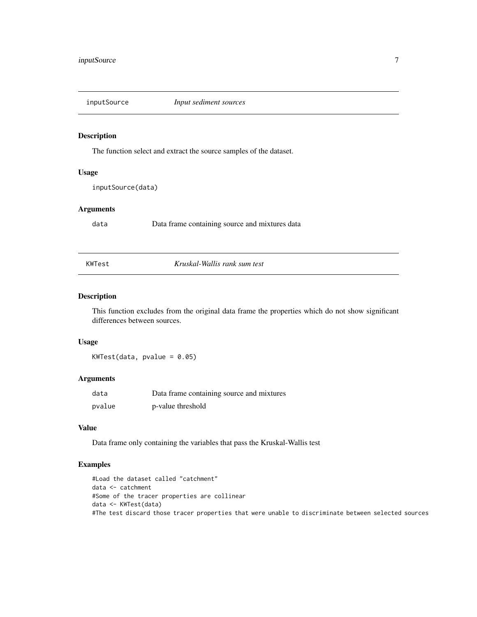<span id="page-6-0"></span>

The function select and extract the source samples of the dataset.

#### Usage

inputSource(data)

#### Arguments

data Data frame containing source and mixtures data

#### KWTest *Kruskal-Wallis rank sum test*

#### Description

This function excludes from the original data frame the properties which do not show significant differences between sources.

#### Usage

 $KWTest(data, pvalue = 0.05)$ 

#### Arguments

| data   | Data frame containing source and mixtures |
|--------|-------------------------------------------|
| pvalue | p-value threshold                         |

#### Value

Data frame only containing the variables that pass the Kruskal-Wallis test

#### Examples

```
#Load the dataset called "catchment"
data <- catchment
#Some of the tracer properties are collinear
data <- KWTest(data)
#The test discard those tracer properties that were unable to discriminate between selected sources
```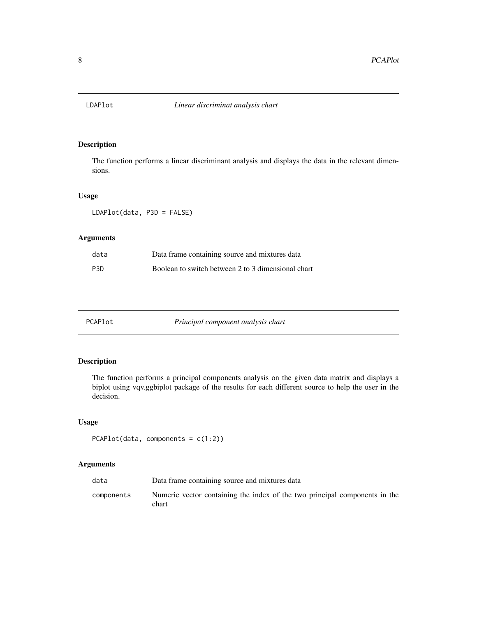<span id="page-7-0"></span>

The function performs a linear discriminant analysis and displays the data in the relevant dimensions.

#### Usage

LDAPlot(data, P3D = FALSE)

#### Arguments

| data             | Data frame containing source and mixtures data     |
|------------------|----------------------------------------------------|
| P <sub>3</sub> D | Boolean to switch between 2 to 3 dimensional chart |

| π | AP |  |
|---|----|--|
|   |    |  |

Principal component analysis chart

#### Description

The function performs a principal components analysis on the given data matrix and displays a biplot using vqv.ggbiplot package of the results for each different source to help the user in the decision.

#### Usage

```
PCAPlot(data, components = c(1:2))
```
#### Arguments

| data       | Data frame containing source and mixtures data                                      |
|------------|-------------------------------------------------------------------------------------|
| components | Numeric vector containing the index of the two principal components in the<br>chart |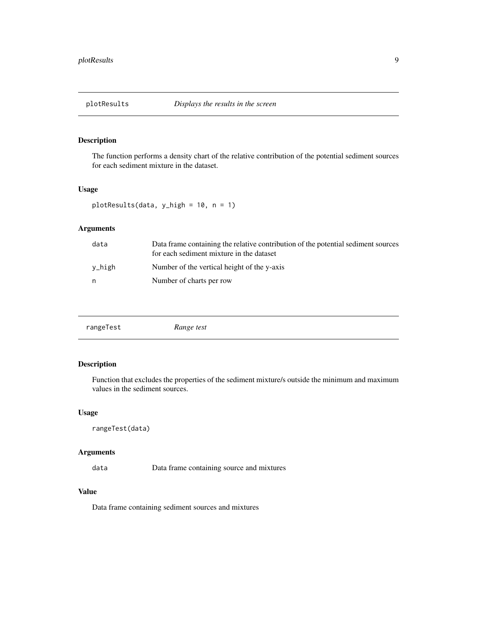<span id="page-8-0"></span>

The function performs a density chart of the relative contribution of the potential sediment sources for each sediment mixture in the dataset.

#### Usage

plotResults(data, y\_high = 10, n = 1)

#### Arguments

| data   | Data frame containing the relative contribution of the potential sediment sources<br>for each sediment mixture in the dataset |
|--------|-------------------------------------------------------------------------------------------------------------------------------|
| v_high | Number of the vertical height of the y-axis                                                                                   |
| n      | Number of charts per row                                                                                                      |

#### Description

Function that excludes the properties of the sediment mixture/s outside the minimum and maximum values in the sediment sources.

#### Usage

```
rangeTest(data)
```
#### Arguments

data Data frame containing source and mixtures

#### Value

Data frame containing sediment sources and mixtures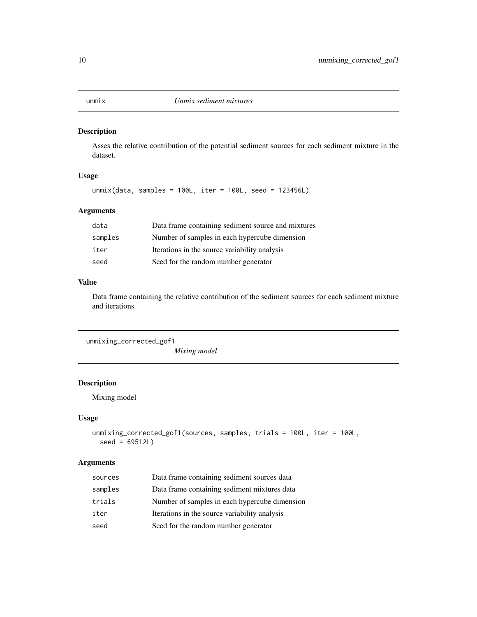<span id="page-9-0"></span>

Asses the relative contribution of the potential sediment sources for each sediment mixture in the dataset.

#### Usage

unmix(data, samples = 100L, iter = 100L, seed = 123456L)

#### Arguments

| data    | Data frame containing sediment source and mixtures |
|---------|----------------------------------------------------|
| samples | Number of samples in each hypercube dimension      |
| iter    | Iterations in the source variability analysis      |
| seed    | Seed for the random number generator               |

#### Value

Data frame containing the relative contribution of the sediment sources for each sediment mixture and iterations

unmixing\_corrected\_gof1

*Mixing model*

#### Description

Mixing model

#### Usage

```
unmixing_corrected_gof1(sources, samples, trials = 100L, iter = 100L,
  seed = 69512L)
```
#### Arguments

| sources | Data frame containing sediment sources data   |
|---------|-----------------------------------------------|
| samples | Data frame containing sediment mixtures data  |
| trials  | Number of samples in each hypercube dimension |
| iter    | Iterations in the source variability analysis |
| seed    | Seed for the random number generator          |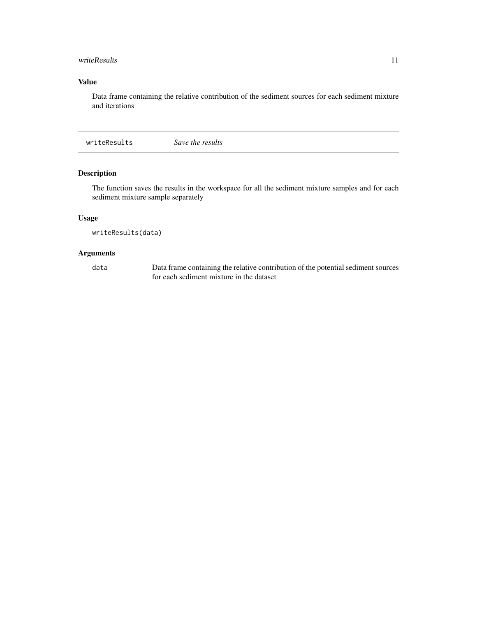#### <span id="page-10-0"></span>writeResults 11

#### Value

Data frame containing the relative contribution of the sediment sources for each sediment mixture and iterations

writeResults *Save the results*

#### Description

The function saves the results in the workspace for all the sediment mixture samples and for each sediment mixture sample separately

#### Usage

writeResults(data)

#### Arguments

data Data frame containing the relative contribution of the potential sediment sources for each sediment mixture in the dataset